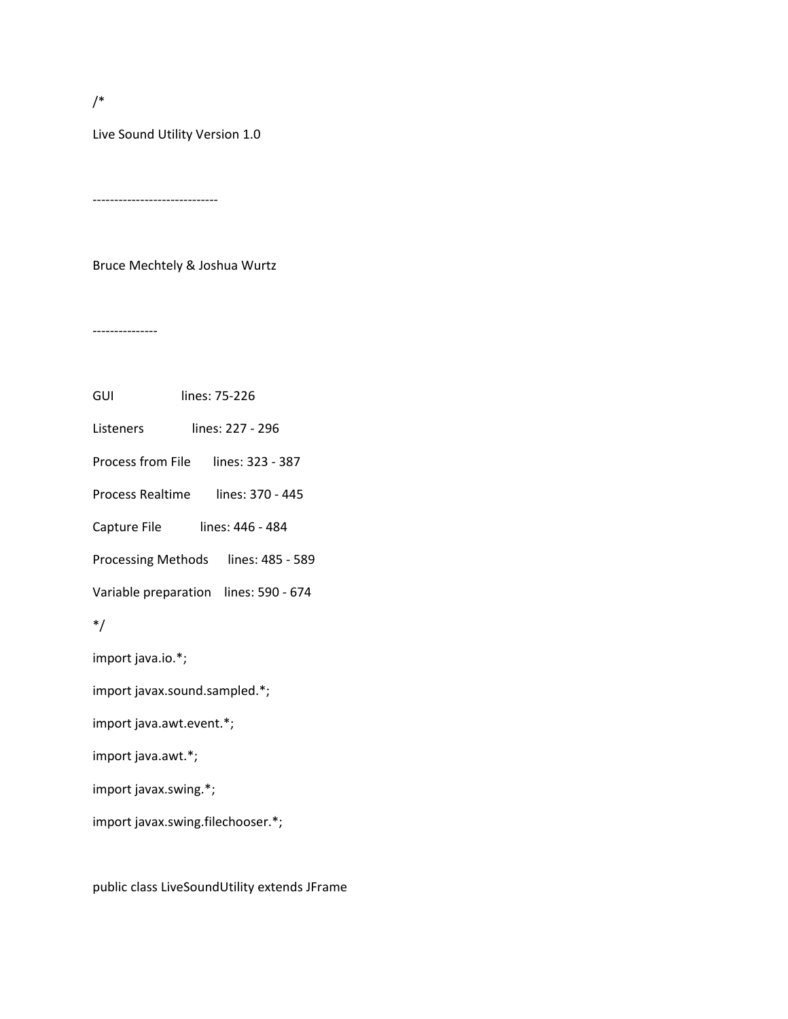/\*

Live Sound Utility Version 1.0

--------------------------

Bruce Mechtely & Joshua Wurtz

‐‐‐‐‐‐‐‐‐‐‐‐‐‐‐

GUI lines: 75‐226 Listeners lines: 227 ‐ 296 Process from File lines: 323 - 387 Process Realtime lines: 370 ‐ 445 Capture File lines: 446 ‐ 484 Processing Methods lines: 485 ‐ 589 Variable preparation lines: 590 ‐ 674 \*/ import java.io.\*; import javax.sound.sampled.\*; import java.awt.event.\*; import java.awt.\*; import javax.swing.\*; import javax.swing.filechooser.\*;

public class LiveSoundUtility extends JFrame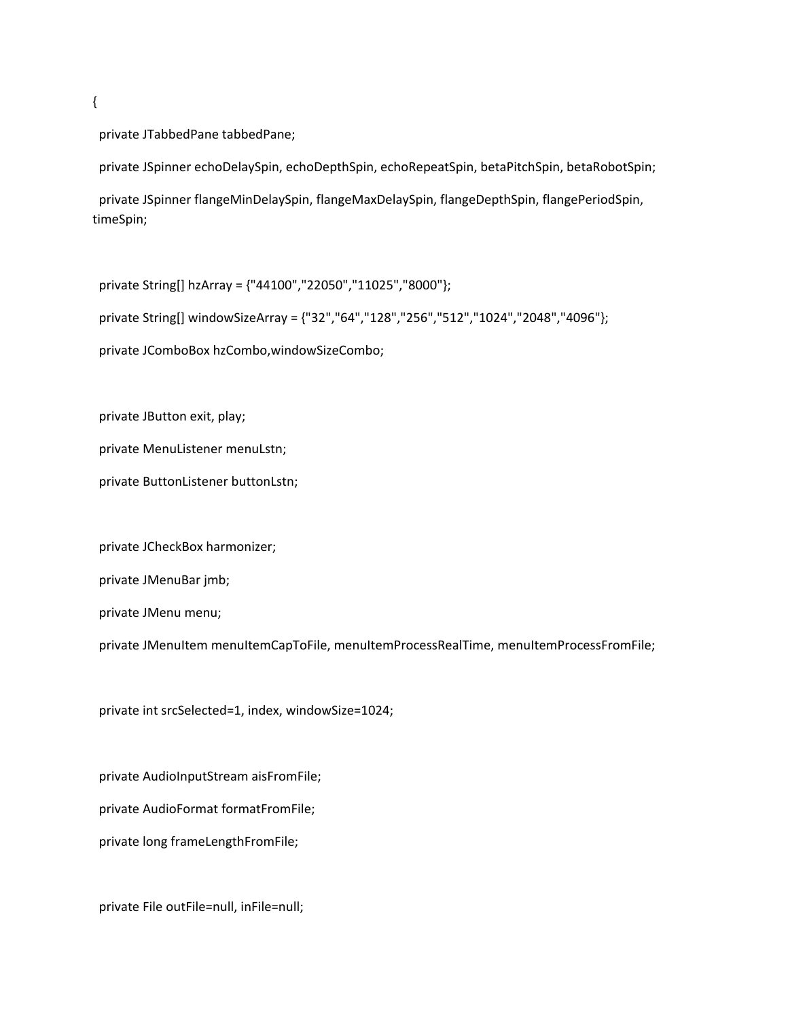{

private JTabbedPane tabbedPane;

private JSpinner echoDelaySpin, echoDepthSpin, echoRepeatSpin, betaPitchSpin, betaRobotSpin;

 private JSpinner flangeMinDelaySpin, flangeMaxDelaySpin, flangeDepthSpin, flangePeriodSpin, timeSpin;

private String[] hzArray = {"44100","22050","11025","8000"};

private String[] windowSizeArray = {"32","64","128","256","512","1024","2048","4096"};

private JComboBox hzCombo,windowSizeCombo;

private JButton exit, play;

private MenuListener menuLstn;

private ButtonListener buttonLstn;

private JCheckBox harmonizer;

private JMenuBar jmb;

private JMenu menu;

private JMenuItem menuItemCapToFile, menuItemProcessRealTime, menuItemProcessFromFile;

private int srcSelected=1, index, windowSize=1024;

private AudioInputStream aisFromFile;

private AudioFormat formatFromFile;

private long frameLengthFromFile;

private File outFile=null, inFile=null;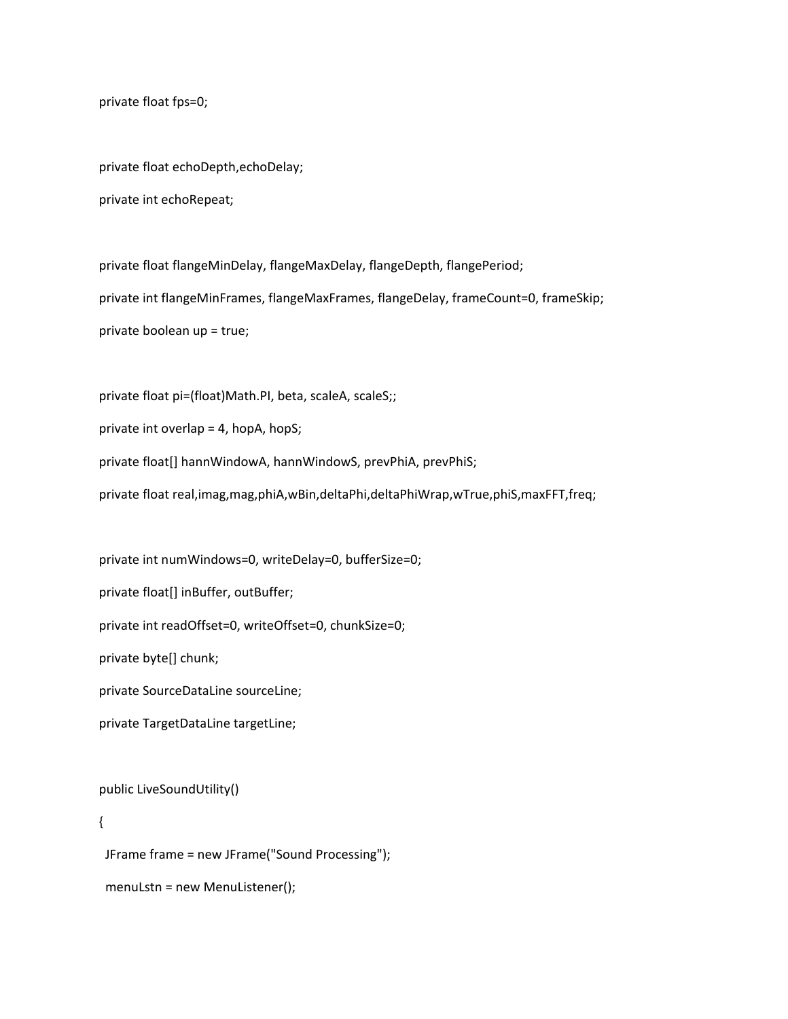private float fps=0;

 private float echoDepth,echoDelay; private int echoRepeat;

 private float flangeMinDelay, flangeMaxDelay, flangeDepth, flangePeriod; private int flangeMinFrames, flangeMaxFrames, flangeDelay, frameCount=0, frameSkip; private boolean up = true;

private float pi=(float)Math.PI, beta, scaleA, scaleS;;

private int overlap = 4, hopA, hopS;

private float[] hannWindowA, hannWindowS, prevPhiA, prevPhiS;

private float real,imag,mag,phiA,wBin,deltaPhi,deltaPhiWrap,wTrue,phiS,maxFFT,freq;

 private int numWindows=0, writeDelay=0, bufferSize=0; private float[] inBuffer, outBuffer; private int readOffset=0, writeOffset=0, chunkSize=0; private byte[] chunk; private SourceDataLine sourceLine; private TargetDataLine targetLine;

public LiveSoundUtility()

 { JFrame frame = new JFrame("Sound Processing"); menuLstn = new MenuListener();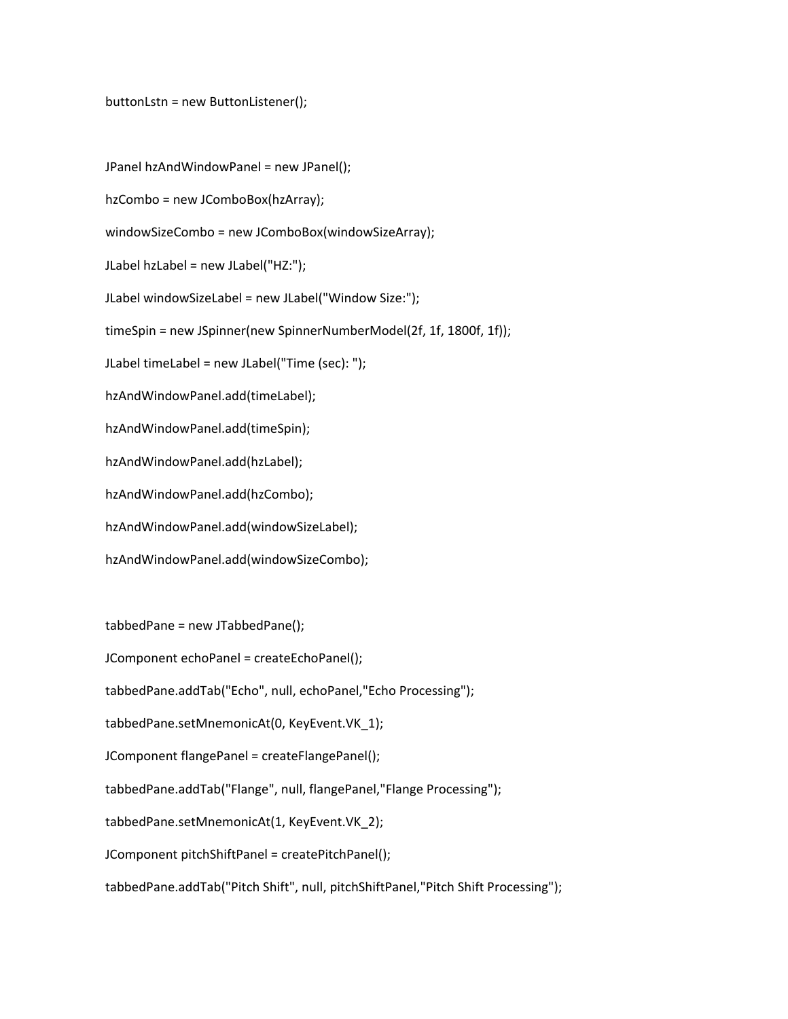buttonLstn = new ButtonListener();

 JPanel hzAndWindowPanel = new JPanel(); hzCombo = new JComboBox(hzArray); windowSizeCombo = new JComboBox(windowSizeArray); JLabel hzLabel = new JLabel("HZ:"); JLabel windowSizeLabel = new JLabel("Window Size:"); timeSpin = new JSpinner(new SpinnerNumberModel(2f, 1f, 1800f, 1f)); JLabel timeLabel = new JLabel("Time (sec): "); hzAndWindowPanel.add(timeLabel); hzAndWindowPanel.add(timeSpin); hzAndWindowPanel.add(hzLabel); hzAndWindowPanel.add(hzCombo); hzAndWindowPanel.add(windowSizeLabel); hzAndWindowPanel.add(windowSizeCombo);

tabbedPane = new JTabbedPane();

JComponent echoPanel = createEchoPanel();

tabbedPane.addTab("Echo", null, echoPanel,"Echo Processing");

tabbedPane.setMnemonicAt(0, KeyEvent.VK\_1);

JComponent flangePanel = createFlangePanel();

tabbedPane.addTab("Flange", null, flangePanel,"Flange Processing");

tabbedPane.setMnemonicAt(1, KeyEvent.VK\_2);

JComponent pitchShiftPanel = createPitchPanel();

tabbedPane.addTab("Pitch Shift", null, pitchShiftPanel,"Pitch Shift Processing");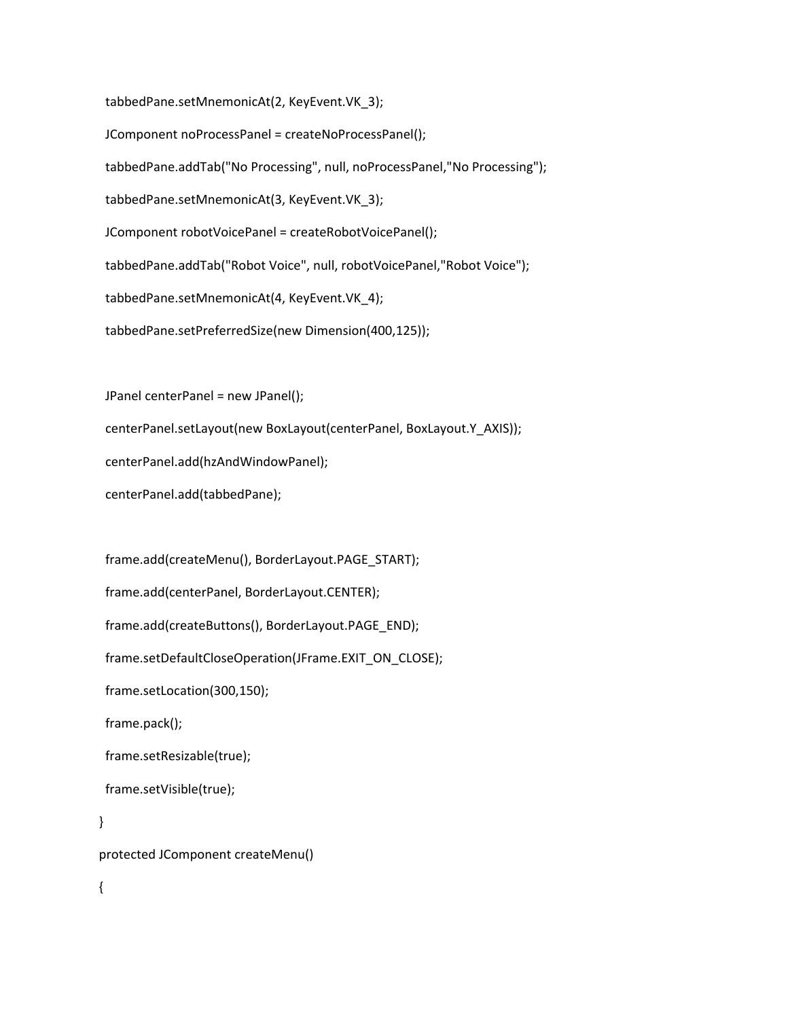tabbedPane.setMnemonicAt(2, KeyEvent.VK\_3);

JComponent noProcessPanel = createNoProcessPanel();

tabbedPane.addTab("No Processing", null, noProcessPanel,"No Processing");

tabbedPane.setMnemonicAt(3, KeyEvent.VK\_3);

JComponent robotVoicePanel = createRobotVoicePanel();

tabbedPane.addTab("Robot Voice", null, robotVoicePanel,"Robot Voice");

tabbedPane.setMnemonicAt(4, KeyEvent.VK\_4);

tabbedPane.setPreferredSize(new Dimension(400,125));

JPanel centerPanel = new JPanel();

centerPanel.setLayout(new BoxLayout(centerPanel, BoxLayout.Y\_AXIS));

centerPanel.add(hzAndWindowPanel);

centerPanel.add(tabbedPane);

{

 frame.add(createMenu(), BorderLayout.PAGE\_START); frame.add(centerPanel, BorderLayout.CENTER); frame.add(createButtons(), BorderLayout.PAGE\_END); frame.setDefaultCloseOperation(JFrame.EXIT\_ON\_CLOSE); frame.setLocation(300,150); frame.pack(); frame.setResizable(true); frame.setVisible(true); } protected JComponent createMenu()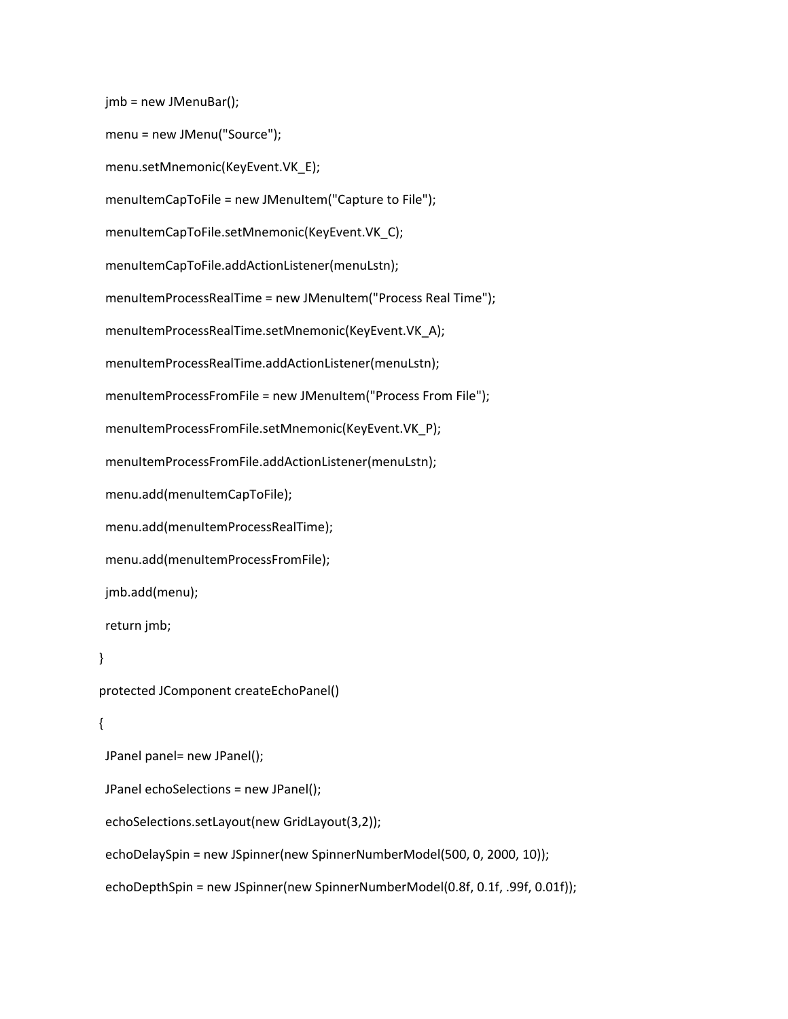```
    jmb = new JMenuBar();
```
 menu = new JMenu("Source"); menu.setMnemonic(KeyEvent.VK\_E); menuItemCapToFile = new JMenuItem("Capture to File"); menuItemCapToFile.setMnemonic(KeyEvent.VK\_C); menuItemCapToFile.addActionListener(menuLstn); menuItemProcessRealTime = new JMenuItem("Process Real Time"); menuItemProcessRealTime.setMnemonic(KeyEvent.VK\_A); menuItemProcessRealTime.addActionListener(menuLstn); menuItemProcessFromFile = new JMenuItem("Process From File"); menuItemProcessFromFile.setMnemonic(KeyEvent.VK\_P); menuItemProcessFromFile.addActionListener(menuLstn); menu.add(menuItemCapToFile); menu.add(menuItemProcessRealTime); menu.add(menuItemProcessFromFile); jmb.add(menu); return jmb; } protected JComponent createEchoPanel() { JPanel panel= new JPanel(); JPanel echoSelections = new JPanel(); echoSelections.setLayout(new GridLayout(3,2));

echoDelaySpin = new JSpinner(new SpinnerNumberModel(500, 0, 2000, 10));

echoDepthSpin = new JSpinner(new SpinnerNumberModel(0.8f, 0.1f, .99f, 0.01f));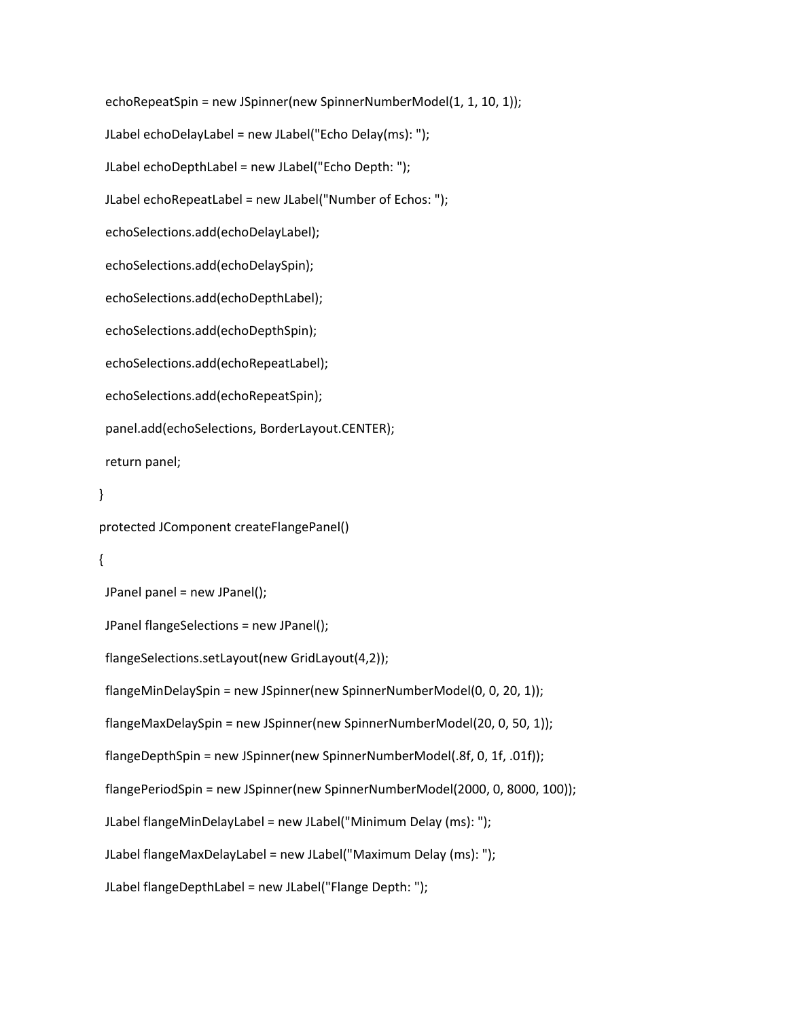echoRepeatSpin = new JSpinner(new SpinnerNumberModel(1, 1, 10, 1)); JLabel echoDelayLabel = new JLabel("Echo Delay(ms): "); JLabel echoDepthLabel = new JLabel("Echo Depth: "); JLabel echoRepeatLabel = new JLabel("Number of Echos: "); echoSelections.add(echoDelayLabel); echoSelections.add(echoDelaySpin); echoSelections.add(echoDepthLabel); echoSelections.add(echoDepthSpin); echoSelections.add(echoRepeatLabel); echoSelections.add(echoRepeatSpin); panel.add(echoSelections, BorderLayout.CENTER); return panel; } protected JComponent createFlangePanel() { JPanel panel = new JPanel(); JPanel flangeSelections = new JPanel(); flangeSelections.setLayout(new GridLayout(4,2)); flangeMinDelaySpin = new JSpinner(new SpinnerNumberModel(0, 0, 20, 1)); flangeMaxDelaySpin = new JSpinner(new SpinnerNumberModel(20, 0, 50, 1)); flangeDepthSpin = new JSpinner(new SpinnerNumberModel(.8f, 0, 1f, .01f)); flangePeriodSpin = new JSpinner(new SpinnerNumberModel(2000, 0, 8000, 100)); JLabel flangeMinDelayLabel = new JLabel("Minimum Delay (ms): "); JLabel flangeMaxDelayLabel = new JLabel("Maximum Delay (ms): ");

```
    JLabel flangeDepthLabel = new JLabel("Flange Depth: ");
```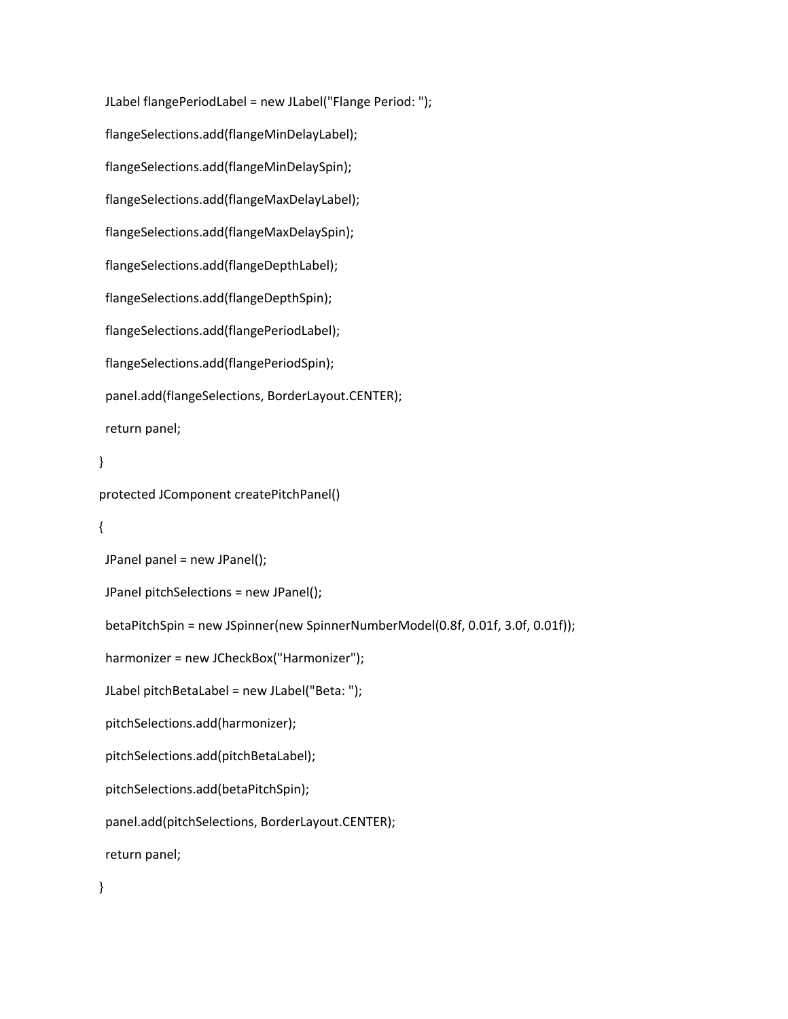```
    JLabel flangePeriodLabel = new JLabel("Flange Period: ");
     flangeSelections.add(flangeMinDelayLabel);
     flangeSelections.add(flangeMinDelaySpin);
     flangeSelections.add(flangeMaxDelayLabel);
     flangeSelections.add(flangeMaxDelaySpin);
     flangeSelections.add(flangeDepthLabel);
     flangeSelections.add(flangeDepthSpin);
     flangeSelections.add(flangePeriodLabel);
     flangeSelections.add(flangePeriodSpin);
     panel.add(flangeSelections, BorderLayout.CENTER);
     return panel;
  }
  protected JComponent createPitchPanel()
  {
     JPanel panel = new JPanel();
     JPanel pitchSelections = new JPanel();
     betaPitchSpin = new JSpinner(new SpinnerNumberModel(0.8f, 0.01f, 3.0f, 0.01f));
     harmonizer = new JCheckBox("Harmonizer");
     JLabel pitchBetaLabel = new JLabel("Beta: ");
     pitchSelections.add(harmonizer);
     pitchSelections.add(pitchBetaLabel);
     pitchSelections.add(betaPitchSpin);
     panel.add(pitchSelections, BorderLayout.CENTER);
     return panel;
```

```
  }
```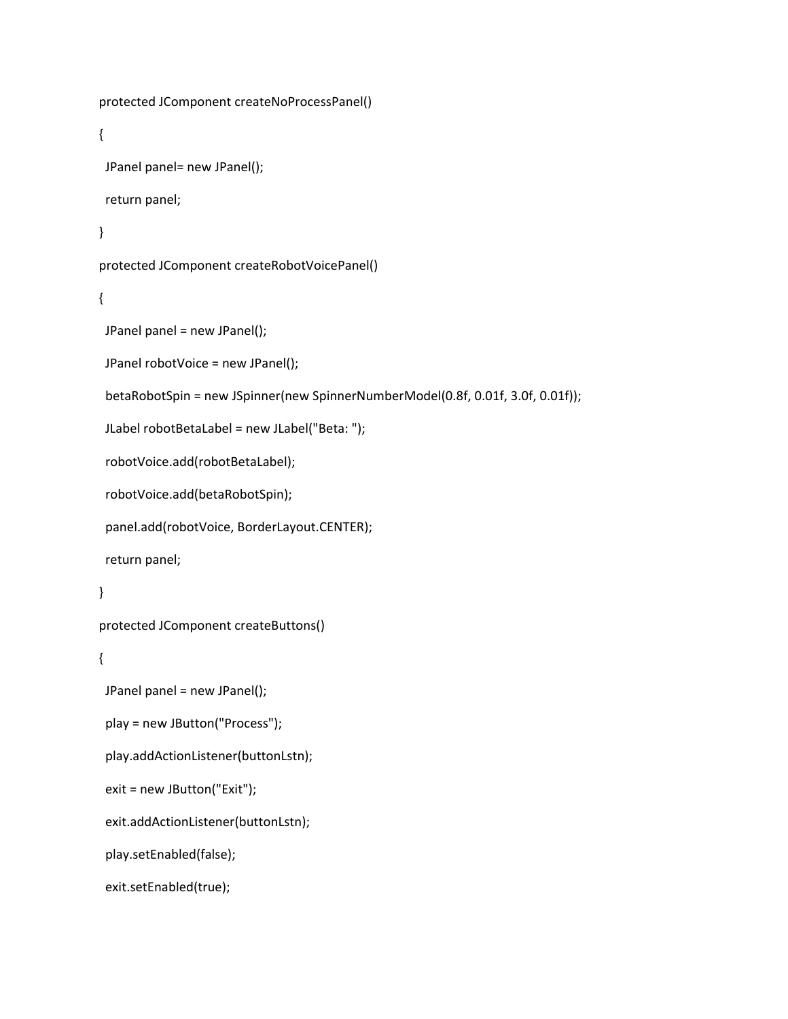```
  protected JComponent createNoProcessPanel()
  {
 JPanel panel= new JPanel();
     return panel;
  }
  protected JComponent createRobotVoicePanel()
  {
     JPanel panel = new JPanel();
     JPanel robotVoice = new JPanel();
     betaRobotSpin = new JSpinner(new SpinnerNumberModel(0.8f, 0.01f, 3.0f, 0.01f));
     JLabel robotBetaLabel = new JLabel("Beta: ");
     robotVoice.add(robotBetaLabel);
     robotVoice.add(betaRobotSpin);
     panel.add(robotVoice, BorderLayout.CENTER);
     return panel;
  }
  protected JComponent createButtons()
  {
     JPanel panel = new JPanel();
     play = new JButton("Process");
     play.addActionListener(buttonLstn);
     exit = new JButton("Exit");
     exit.addActionListener(buttonLstn);
     play.setEnabled(false);
```

```
    exit.setEnabled(true);
```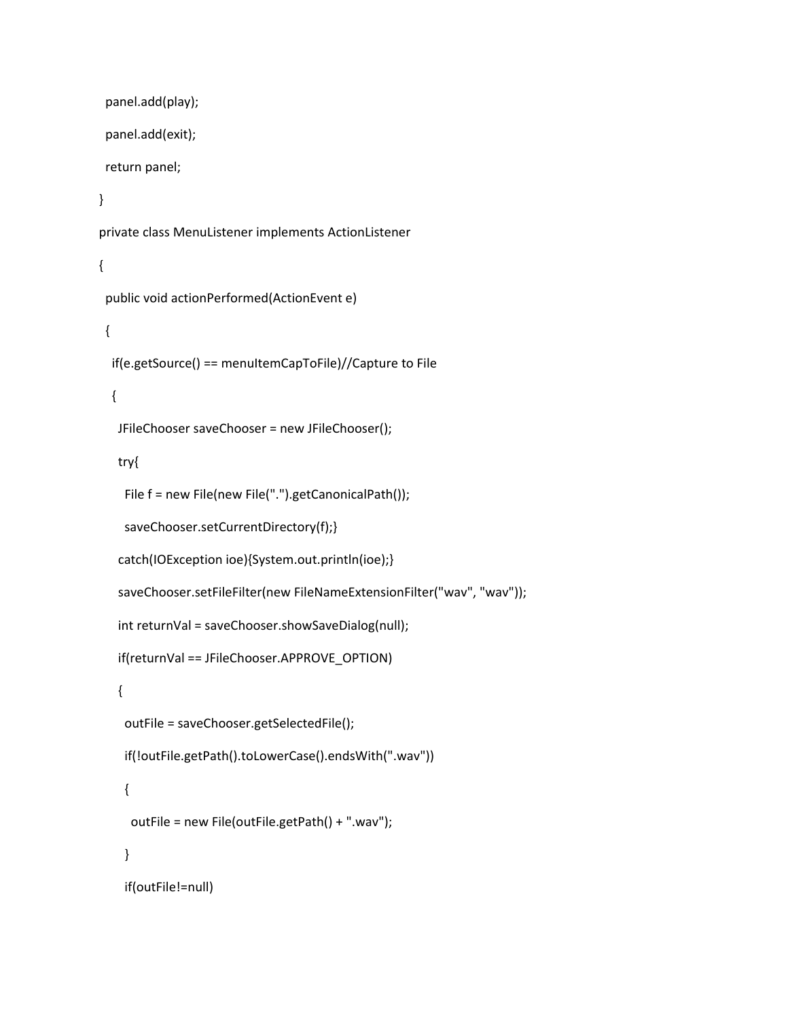```
    panel.add(play);
     panel.add(exit);
     return panel;
  private class MenuListener implements ActionListener
     public void actionPerformed(ActionEvent e)
     {
        if(e.getSource() == menuItemCapToFile)//Capture to File
        {
            JFileChooser saveChooser = new JFileChooser();
            try{
               File f = new File(new File(".").getCanonicalPath());
               saveChooser.setCurrentDirectory(f);}
            catch(IOException ioe){System.out.println(ioe);}
            saveChooser.setFileFilter(new FileNameExtensionFilter("wav", "wav"));
            int returnVal = saveChooser.showSaveDialog(null);
            if(returnVal == JFileChooser.APPROVE_OPTION)
            {
               outFile = saveChooser.getSelectedFile();
               if(!outFile.getPath().toLowerCase().endsWith(".wav"))
               {
                  outFile = new File(outFile.getPath() + ".wav");
               }
               if(outFile!=null)
```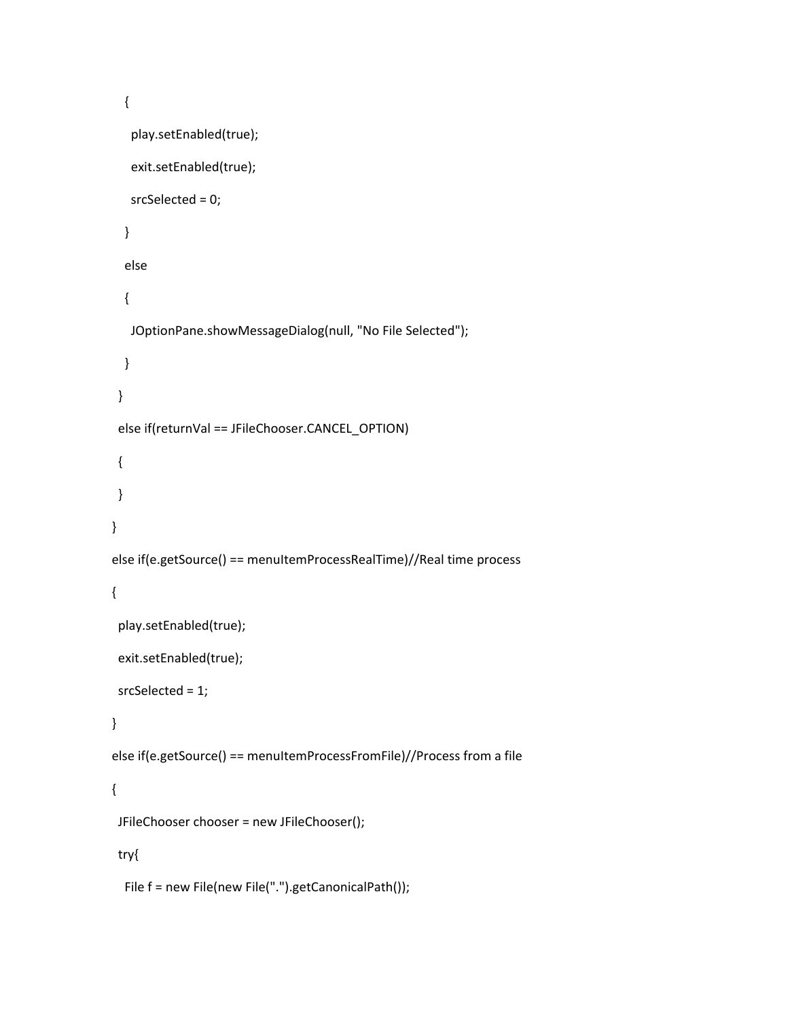```
          {
                play.setEnabled(true);
                exit.setEnabled(true);
                srcSelected = 0;
             }
             else
             {
                JOptionPane.showMessageDialog(null, "No File Selected");
             }
         }
         else if(returnVal == JFileChooser.CANCEL_OPTION)
         {
         }
      }
      else if(e.getSource() == menuItemProcessRealTime)//Real time process
      {
         play.setEnabled(true);
          exit.setEnabled(true);
         srcSelected = 1;
      }
      else if(e.getSource() == menuItemProcessFromFile)//Process from a file
      {
         JFileChooser chooser = new JFileChooser();
         try{
             File f = new File(new File(".").getCanonicalPath());
```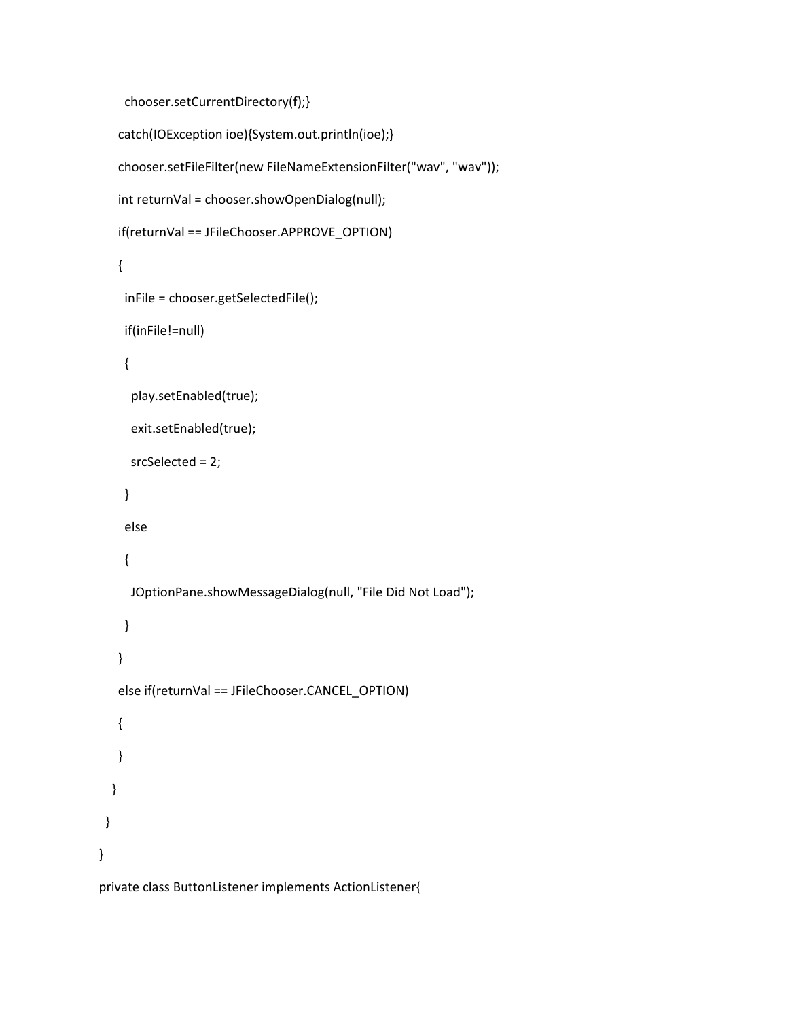```
          chooser.setCurrentDirectory(f);}
```

```
        catch(IOException ioe){System.out.println(ioe);}
          chooser.setFileFilter(new FileNameExtensionFilter("wav", "wav"));
         int returnVal = chooser.showOpenDialog(null);
         if(returnVal == JFileChooser.APPROVE_OPTION)
         {
             inFile = chooser.getSelectedFile();
             if(inFile!=null)
             {
                play.setEnabled(true);
                exit.setEnabled(true);
                srcSelected = 2;
             }
             else
             {
                JOptionPane.showMessageDialog(null, "File Did Not Load");
             }
         }
         else if(returnVal == JFileChooser.CANCEL_OPTION)
         {
         }
      }
```
## private class ButtonListener implements ActionListener{

}

}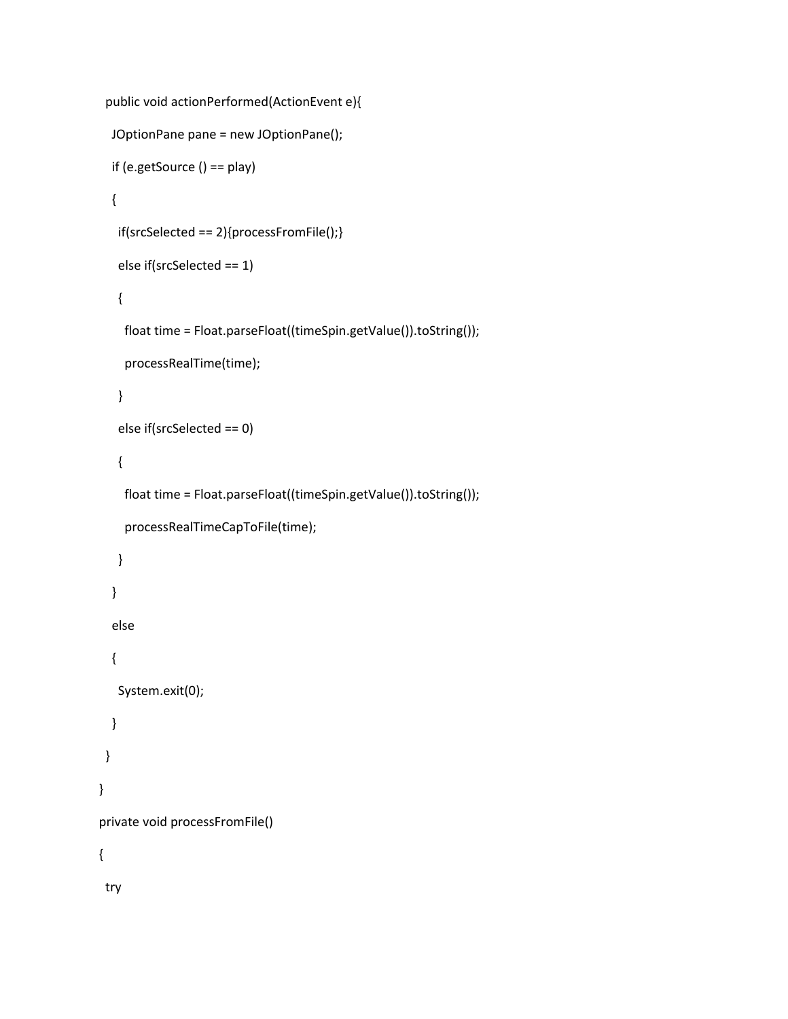```
    public void actionPerformed(ActionEvent e){
        JOptionPane pane = new JOptionPane();
        if (e.getSource () == play)
        {
            if(srcSelected == 2){processFromFile();}
            else if(srcSelected == 1)
            {
                float time = Float.parseFloat((timeSpin.getValue()).toString());
                processRealTime(time);
            }
            else if(srcSelected == 0)
            {
                float time = Float.parseFloat((timeSpin.getValue()).toString());
                processRealTimeCapToFile(time);
            }
        }
        else
        {
            System.exit(0);
        }
     }
  private void processFromFile()
  {
     try
```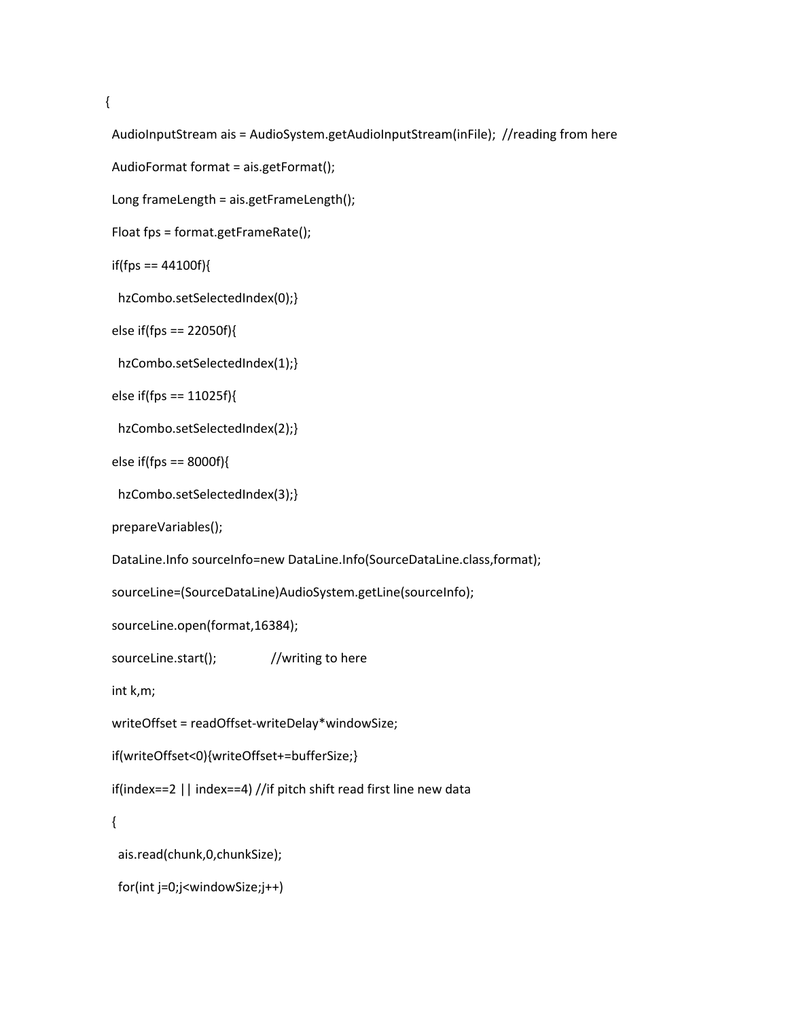{

```
      AudioInputStream ais = AudioSystem.getAudioInputStream(inFile);  //reading from here
```

```
      AudioFormat format = ais.getFormat();
```

```
      Long frameLength = ais.getFrameLength();
```

```
      Float fps = format.getFrameRate();
```

```
if(fps == 44100f)
```

```
        hzCombo.setSelectedIndex(0);}
```

```
      else if(fps == 22050f){
```
hzCombo.setSelectedIndex(1);}

else if(fps == 11025f){

```
        hzCombo.setSelectedIndex(2);}
```

```
else if(fps == 8000f){
```

```
        hzCombo.setSelectedIndex(3);}
```
prepareVariables();

```
DataLine.Info sourceInfo=new DataLine.Info(SourceDataLine.class,format);
```
sourceLine=(SourceDataLine)AudioSystem.getLine(sourceInfo);

```
      sourceLine.open(format,16384);
```
sourceLine.start();  $//writing to here$ 

int k,m;

```
      writeOffset = readOffset‐writeDelay*windowSize;
```

```
      if(writeOffset<0){writeOffset+=bufferSize;}
```
if(index==2 || index==4) //if pitch shift read first line new data

```
      {
```

```
        ais.read(chunk,0,chunkSize);
```

```
        for(int j=0;j<windowSize;j++)
```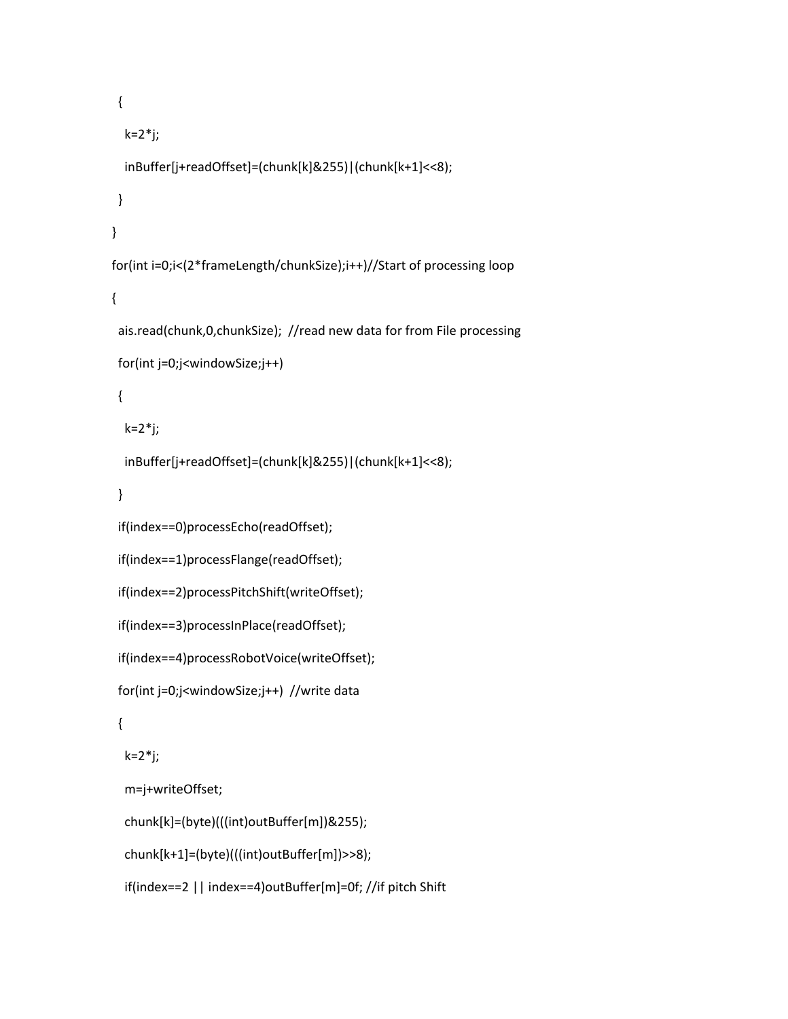```
        {
             k=2*j;
             inBuffer[j+readOffset]=(chunk[k]&255)|(chunk[k+1]<<8);
         }
      }
      for(int i=0;i<(2*frameLength/chunkSize);i++)//Start of processing loop
      {
         ais.read(chunk,0,chunkSize);  //read new data for from File processing
         for(int j=0;j<windowSize;j++)
         {
             k=2*j;
             inBuffer[j+readOffset]=(chunk[k]&255)|(chunk[k+1]<<8);
         }
         if(index==0)processEcho(readOffset);
         if(index==1)processFlange(readOffset);
         if(index==2)processPitchShift(writeOffset);
         if(index==3)processInPlace(readOffset);
         if(index==4)processRobotVoice(writeOffset);
         for(int j=0;j<windowSize;j++)  //write data
         {
             k=2*j;
             m=j+writeOffset;
             chunk[k]=(byte)(((int)outBuffer[m])&255);
             chunk[k+1]=(byte)(((int)outBuffer[m])>>8);
             if(index==2 || index==4)outBuffer[m]=0f; //if pitch Shift
```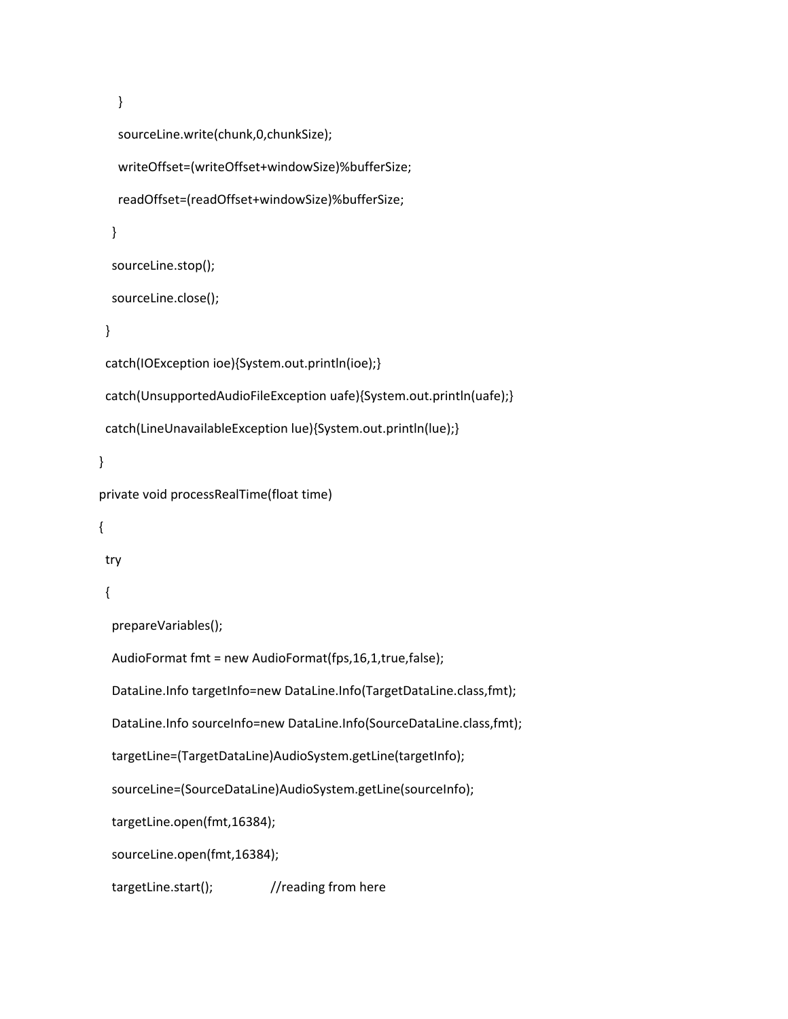}

```
        sourceLine.write(chunk,0,chunkSize);
           writeOffset=(writeOffset+windowSize)%bufferSize;
           readOffset=(readOffset+windowSize)%bufferSize;
        }
        sourceLine.stop();
        sourceLine.close();
     }
     catch(IOException ioe){System.out.println(ioe);}
     catch(UnsupportedAudioFileException uafe){System.out.println(uafe);}
     catch(LineUnavailableException lue){System.out.println(lue);}
  private void processRealTime(float time)
     try
     {
        prepareVariables();
        AudioFormat fmt = new AudioFormat(fps,16,1,true,false);
  DataLine.Info targetInfo=new DataLine.Info(TargetDataLine.class,fmt);
        DataLine.Info sourceInfo=new DataLine.Info(SourceDataLine.class,fmt);
        targetLine=(TargetDataLine)AudioSystem.getLine(targetInfo);
        sourceLine=(SourceDataLine)AudioSystem.getLine(sourceInfo);
        targetLine.open(fmt,16384);
        sourceLine.open(fmt,16384);
  targetLine.start(); //reading from here
```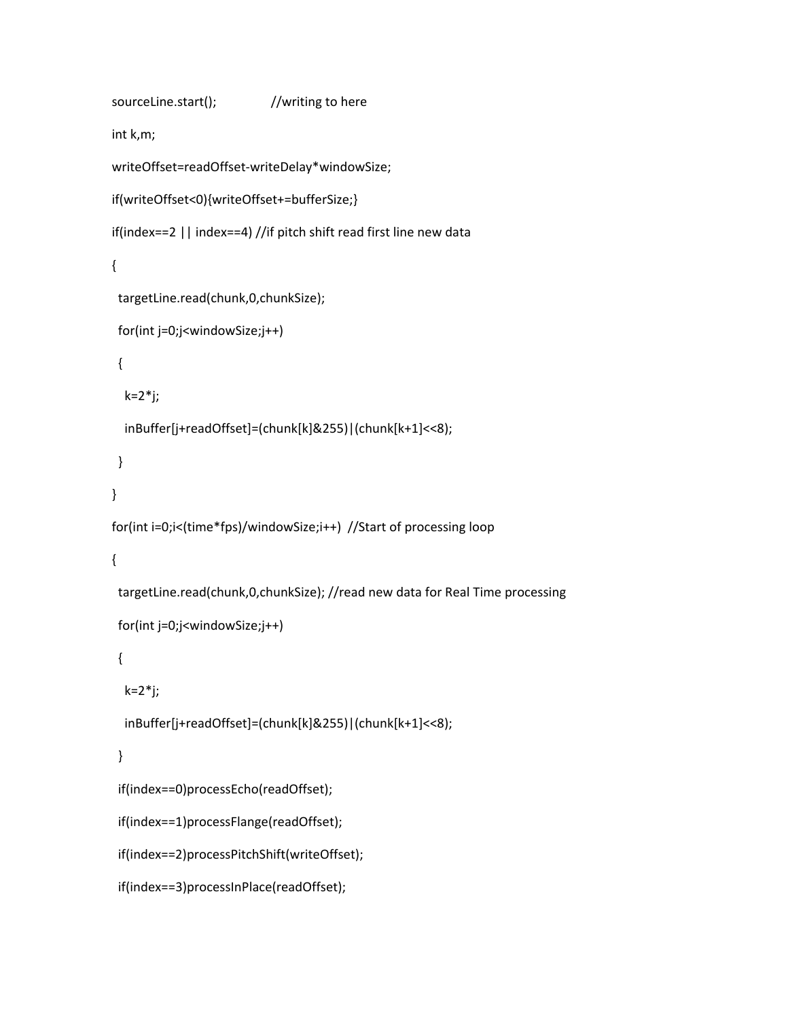```
sourceLine.start(); //writing to here
```
int k,m;

```
      writeOffset=readOffset‐writeDelay*windowSize;
```

```
      if(writeOffset<0){writeOffset+=bufferSize;}
```

```
      if(index==2 || index==4) //if pitch shift read first line new data
```

```
      {
```

```
        targetLine.read(chunk,0,chunkSize);
```

```
        for(int j=0;j<windowSize;j++)
```

```
        {
```

```
          k=2*j;
```

```
          inBuffer[j+readOffset]=(chunk[k]&255)|(chunk[k+1]<<8);
```

```
        }
```

```
      }
```

```
      for(int i=0;i<(time*fps)/windowSize;i++)  //Start of processing loop
```

```
      {
```

```
        targetLine.read(chunk,0,chunkSize); //read new data for Real Time processing
```

```
        for(int j=0;j<windowSize;j++)
```

```
        {
```

```
          k=2*j;
```
inBuffer[j+readOffset]=(chunk[k]&255)|(chunk[k+1]<<8);

```
        }
```

```
        if(index==0)processEcho(readOffset);
```
if(index==1)processFlange(readOffset);

```
        if(index==2)processPitchShift(writeOffset);
```

```
        if(index==3)processInPlace(readOffset);
```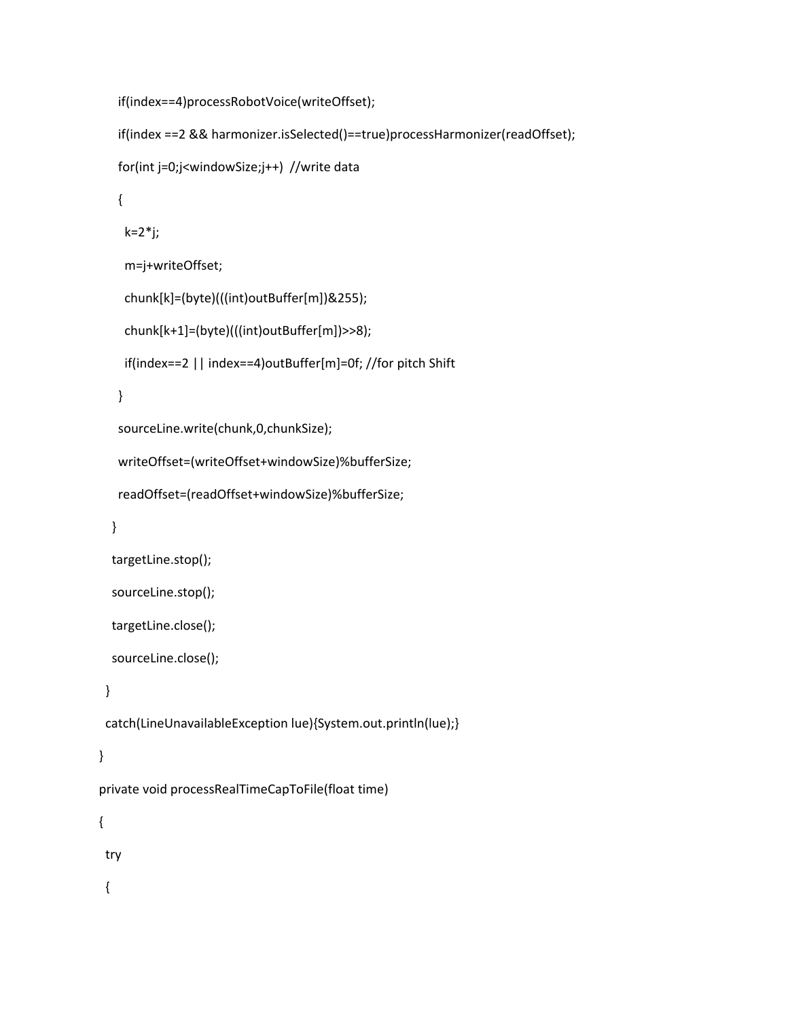```
        if(index==4)processRobotVoice(writeOffset);
```

```
        if(index ==2 && harmonizer.isSelected()==true)processHarmonizer(readOffset);
            for(int j=0;j<windowSize;j++)  //write data
            {
               k=2*j;
               m=j+writeOffset;
               chunk[k]=(byte)(((int)outBuffer[m])&255);
               chunk[k+1]=(byte)(((int)outBuffer[m])>>8);
               if(index==2 || index==4)outBuffer[m]=0f; //for pitch Shift
            }
            sourceLine.write(chunk,0,chunkSize);
            writeOffset=(writeOffset+windowSize)%bufferSize;
            readOffset=(readOffset+windowSize)%bufferSize;
        }
        targetLine.stop();
        sourceLine.stop();
        targetLine.close();
        sourceLine.close();
     }
     catch(LineUnavailableException lue){System.out.println(lue);}
  private void processRealTimeCapToFile(float time)
     try
     {
```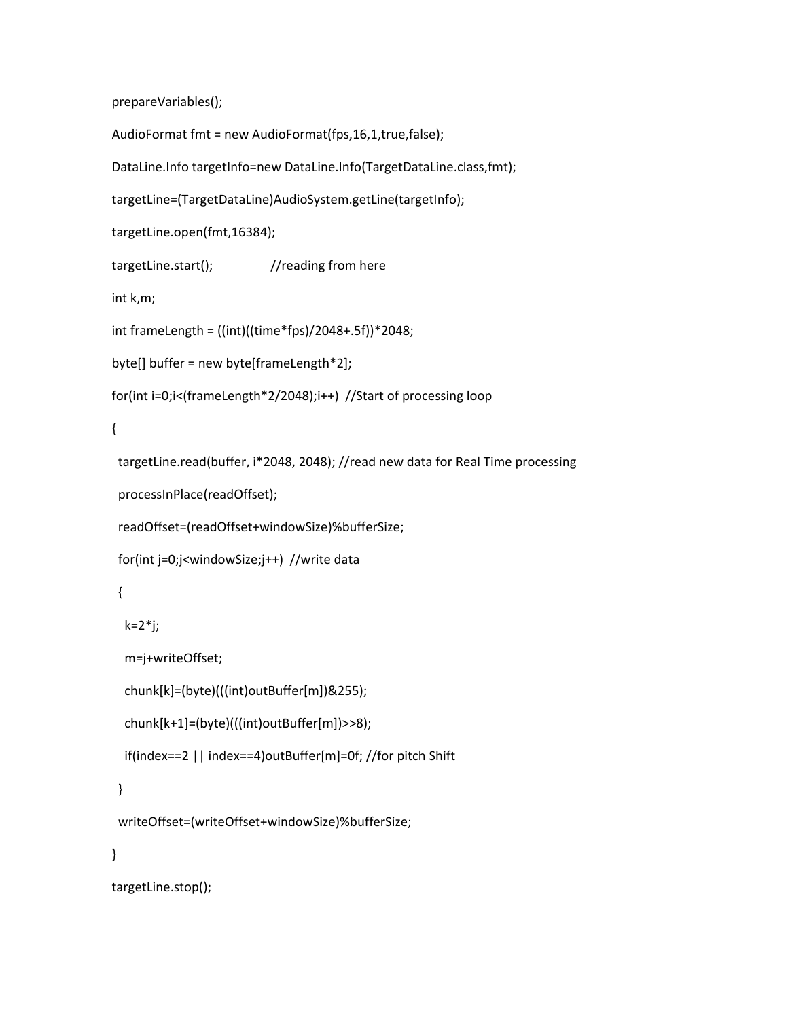prepareVariables();

AudioFormat fmt = new AudioFormat(fps,16,1,true,false);

DataLine.Info targetInfo=new DataLine.Info(TargetDataLine.class,fmt);

targetLine=(TargetDataLine)AudioSystem.getLine(targetInfo);

```
      targetLine.open(fmt,16384);
```
targetLine.start(); //reading from here

int k,m;

int frameLength = ((int)((time\*fps)/2048+.5f))\*2048;

byte[] buffer = new byte[frameLength\*2];

```
      for(int i=0;i<(frameLength*2/2048);i++)  //Start of processing loop
```
{

```
        targetLine.read(buffer, i*2048, 2048); //read new data for Real Time processing
```

```
        processInPlace(readOffset);
```
readOffset=(readOffset+windowSize)%bufferSize;

```
        for(int j=0;j<windowSize;j++)  //write data
```
## {

k=2\*j;

m=j+writeOffset;

```
          chunk[k]=(byte)(((int)outBuffer[m])&255);
```

```
          chunk[k+1]=(byte)(((int)outBuffer[m])>>8);
```

```
          if(index==2 || index==4)outBuffer[m]=0f; //for pitch Shift
```
}

```
        writeOffset=(writeOffset+windowSize)%bufferSize;
```
}

```
      targetLine.stop();
```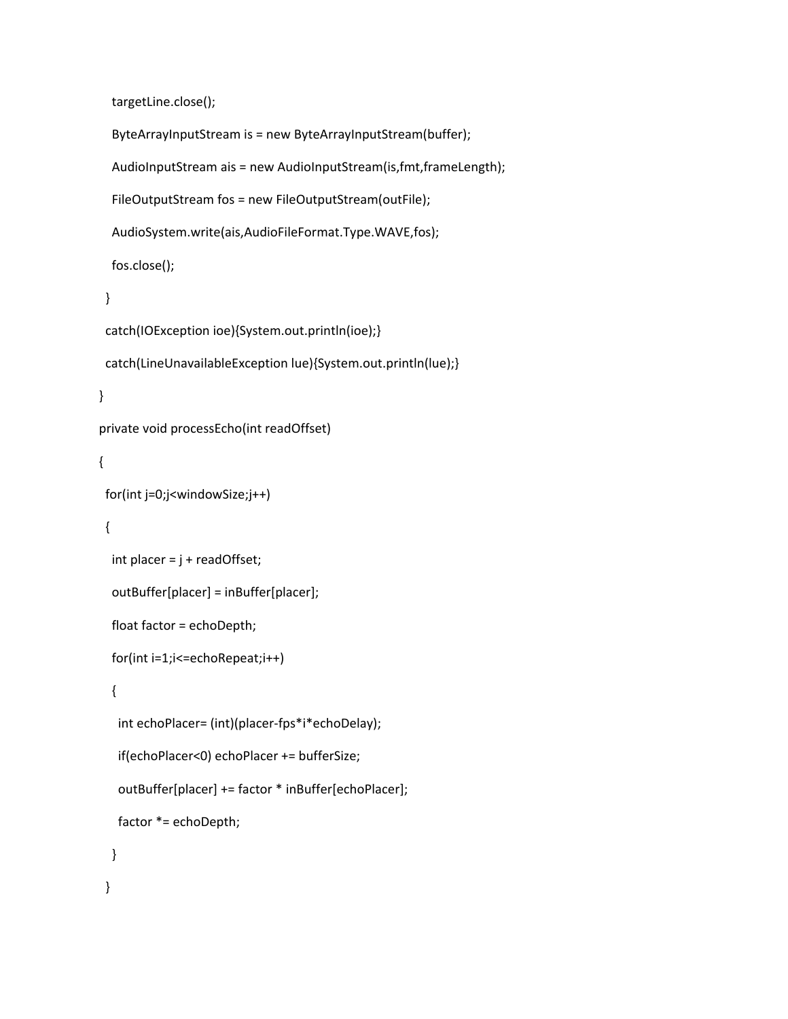targetLine.close();

```
      ByteArrayInputStream is = new ByteArrayInputStream(buffer);
        AudioInputStream ais = new AudioInputStream(is,fmt,frameLength);
        FileOutputStream fos = new FileOutputStream(outFile);
        AudioSystem.write(ais,AudioFileFormat.Type.WAVE,fos);
        fos.close();
     }
     catch(IOException ioe){System.out.println(ioe);}
     catch(LineUnavailableException lue){System.out.println(lue);}
  }
  private void processEcho(int readOffset)
  {
     for(int j=0;j<windowSize;j++)
     {
  int placer = j + readOffset;
        outBuffer[placer] = inBuffer[placer];
        float factor = echoDepth;
        for(int i=1;i<=echoRepeat;i++)
        {
            int echoPlacer= (int)(placer‐fps*i*echoDelay);
            if(echoPlacer<0) echoPlacer += bufferSize;
            outBuffer[placer] += factor * inBuffer[echoPlacer];
           factor *= echoDepth;
        }
     }
```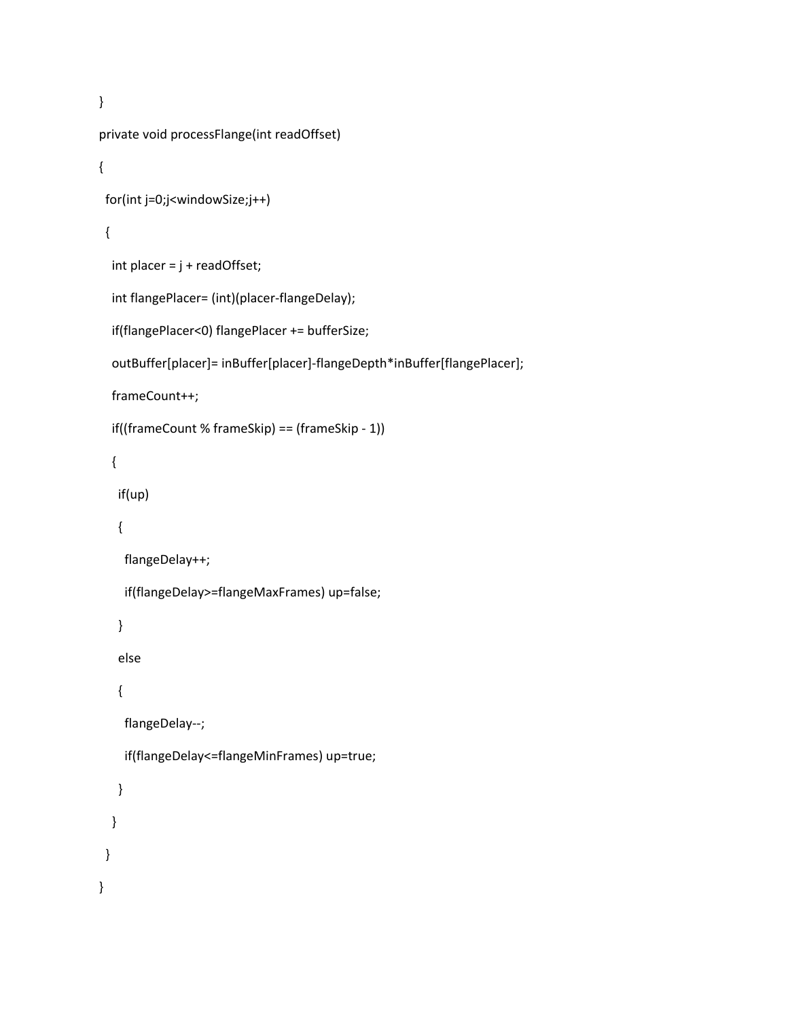```
  }
  private void processFlange(int readOffset)
  {
     for(int j=0;j<windowSize;j++)
     {
   int placer = j + readOffset;
   int flangePlacer= (int)(placer-flangeDelay);
         if(flangePlacer<0) flangePlacer += bufferSize;
         outBuffer[placer]= inBuffer[placer]‐flangeDepth*inBuffer[flangePlacer];
         frameCount++;
         if((frameCount % frameSkip) == (frameSkip ‐ 1))
         {
            if(up)
            {
                flangeDelay++;
                if(flangeDelay>=flangeMaxFrames) up=false;
            }
            else
            {
                flangeDelay‐‐;
                if(flangeDelay<=flangeMinFrames) up=true;
            }
         }
     }
  }
```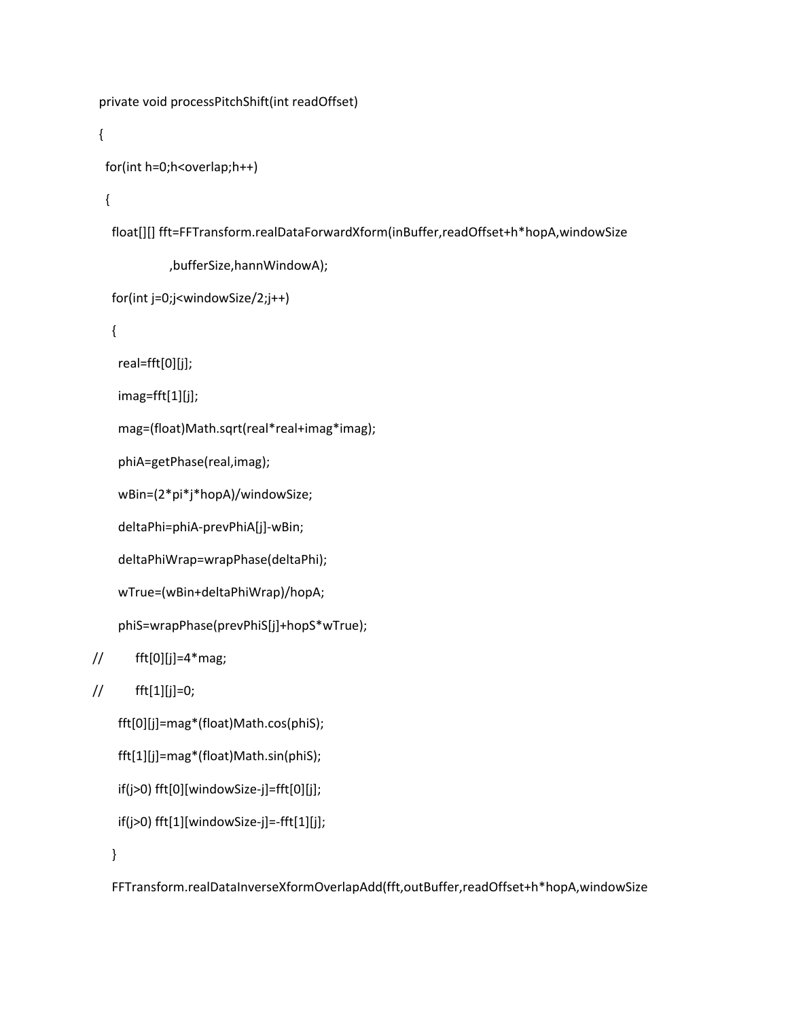```
  private void processPitchShift(int readOffset)
   {
  for(int h=0;h<overlap;h++)
      {
          float[][] fft=FFTransform.realDataForwardXform(inBuffer,readOffset+h*hopA,windowSize
                                        ,bufferSize,hannWindowA);
          for(int j=0;j<windowSize/2;j++)
         {
             real=fft[0][j];
             imag=fft[1][j];
             mag=(float)Math.sqrt(real*real+imag*imag);
             phiA=getPhase(real,imag);
             wBin=(2*pi*j*hopA)/windowSize;
             deltaPhi=phiA‐prevPhiA[j]‐wBin;
             deltaPhiWrap=wrapPhase(deltaPhi);
             wTrue=(wBin+deltaPhiWrap)/hopA;
             phiS=wrapPhase(prevPhiS[j]+hopS*wTrue);
\frac{1}{2} fft[0][j]=4*mag;
\frac{1}{2} fft[1][j]=0;        fft[0][j]=mag*(float)Math.cos(phiS);
             fft[1][j]=mag*(float)Math.sin(phiS);
             if(j>0) fft[0][windowSize‐j]=fft[0][j];
             if(j>0) fft[1][windowSize‐j]=‐fft[1][j];
```
FFTransform.realDataInverseXformOverlapAdd(fft,outBuffer,readOffset+h\*hopA,windowSize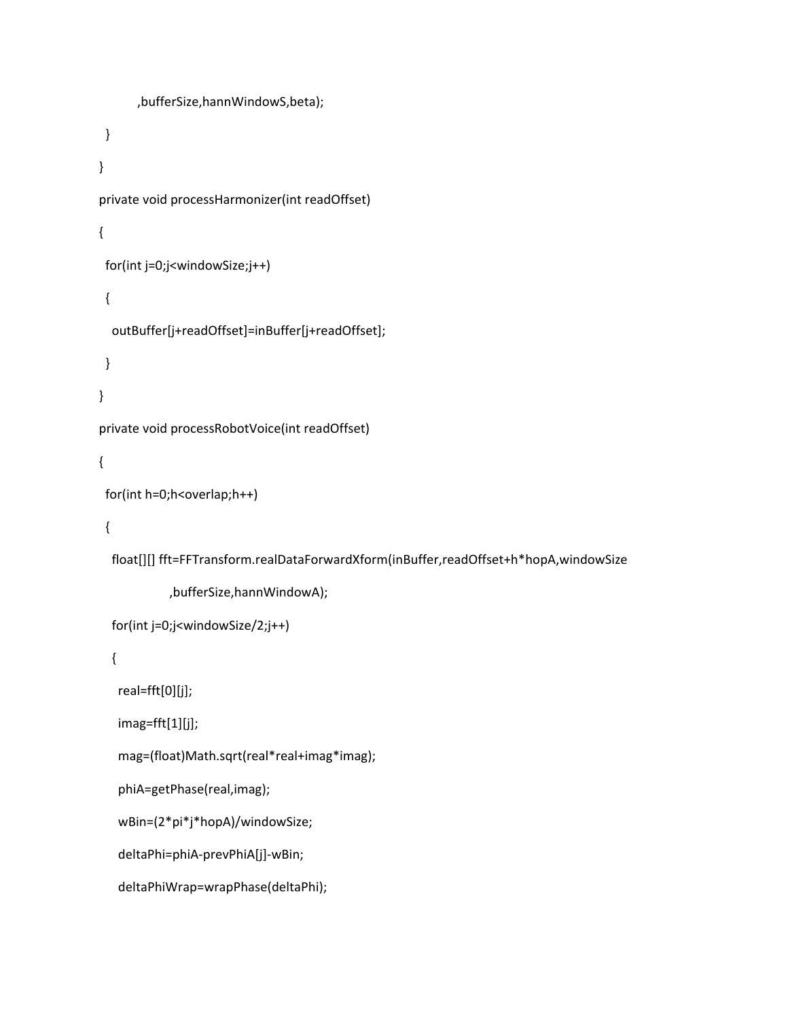```
              ,bufferSize,hannWindowS,beta);
     }
  }
  private void processHarmonizer(int readOffset)
  {
     for(int j=0;j<windowSize;j++)
     {
        outBuffer[j+readOffset]=inBuffer[j+readOffset];
     }
  }
  private void processRobotVoice(int readOffset)
  {
 for(int h=0;h<overlap;h++)
     {
        float[][] fft=FFTransform.realDataForwardXform(inBuffer,readOffset+h*hopA,windowSize
                                       ,bufferSize,hannWindowA);
        for(int j=0;j<windowSize/2;j++)
        {
            real=fft[0][j];
            imag=fft[1][j];
            mag=(float)Math.sqrt(real*real+imag*imag);
            phiA=getPhase(real,imag);
            wBin=(2*pi*j*hopA)/windowSize;
            deltaPhi=phiA‐prevPhiA[j]‐wBin;
            deltaPhiWrap=wrapPhase(deltaPhi);
```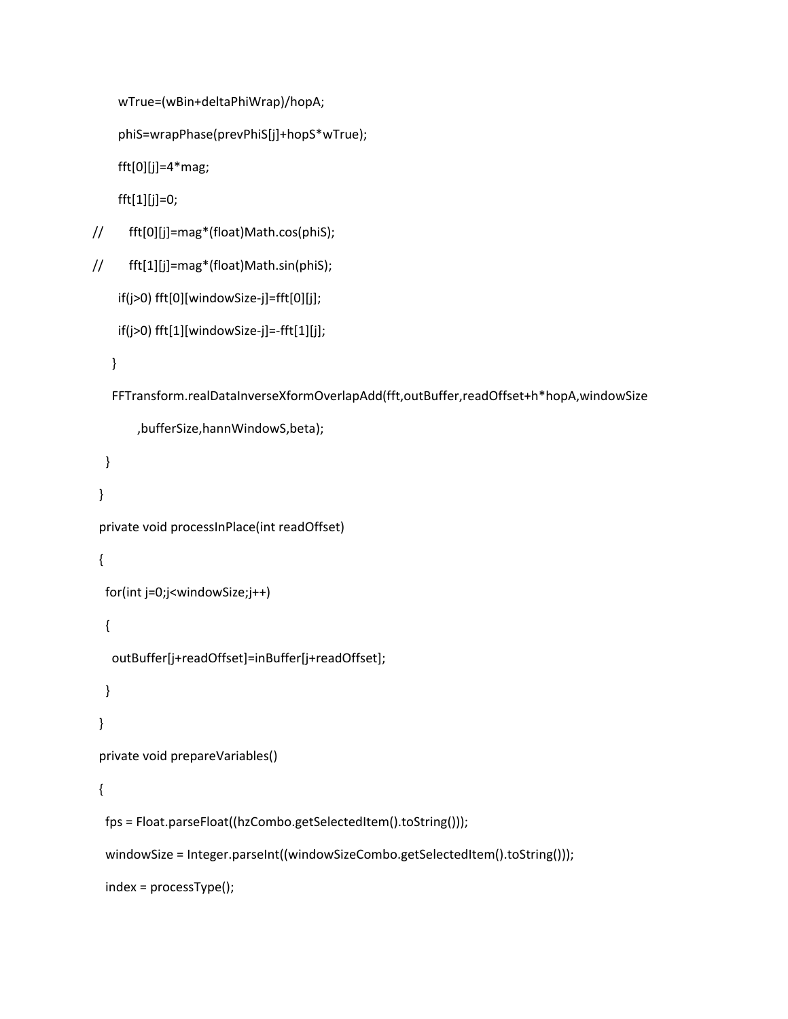```
        wTrue=(wBin+deltaPhiWrap)/hopA;
```

```
        phiS=wrapPhase(prevPhiS[j]+hopS*wTrue);
```

```
        fft[0][j]=4*mag;
```
fft[1][j]=0;

// fft[0][j]=mag\*(float)Math.cos(phiS);

```
//        fft[1][j]=mag*(float)Math.sin(phiS);
```

```
        if(j>0) fft[0][windowSize‐j]=fft[0][j];
```

```
        if(j>0) fft[1][windowSize‐j]=‐fft[1][j];
```

```
      }
```

```
      FFTransform.realDataInverseXformOverlapAdd(fft,outBuffer,readOffset+h*hopA,windowSize
```

```
              ,bufferSize,hannWindowS,beta);
```

```
    }
```

```
  }
```

```
  private void processInPlace(int readOffset)
```

```
  {
```

```
    for(int j=0;j<windowSize;j++)
```
{

```
      outBuffer[j+readOffset]=inBuffer[j+readOffset];
```

```
    }
```

```
  }
```

```
  private void prepareVariables()
```

```
    fps = Float.parseFloat((hzCombo.getSelectedItem().toString()));
```

```
windowSize = Integer.parseInt((windowSizeCombo.getSelectedItem().toString()));
```

```
    index = processType();
```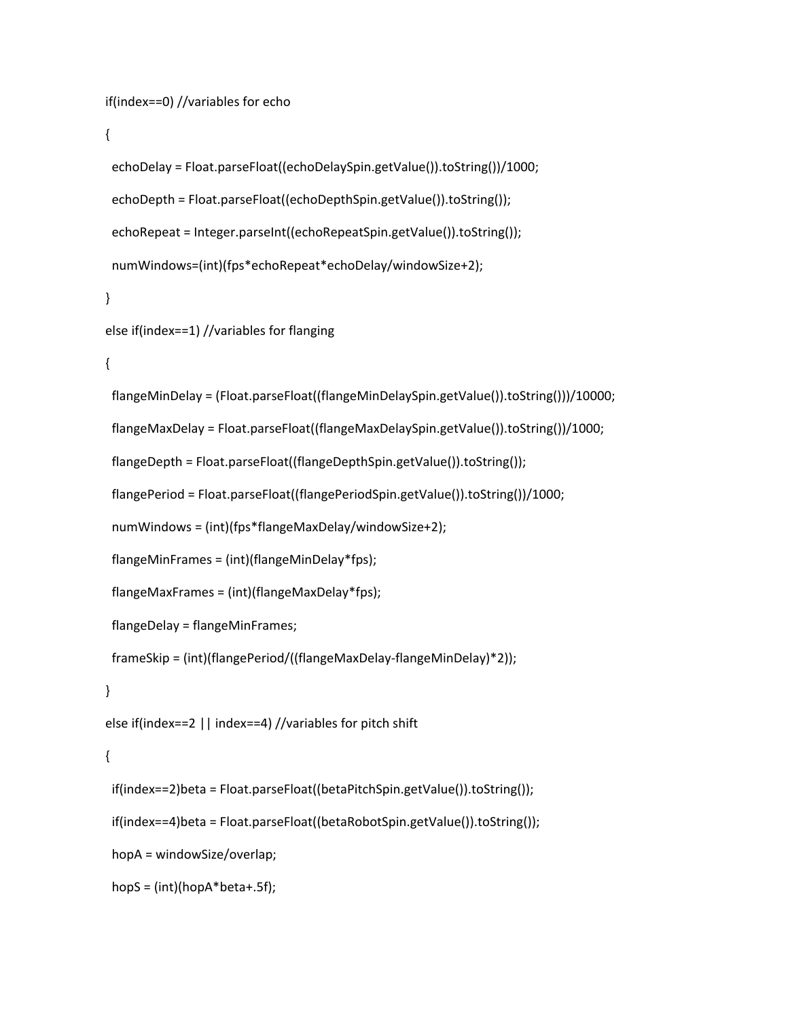```
    if(index==0) //variables for echo
```
{

```
      echoDelay = Float.parseFloat((echoDelaySpin.getValue()).toString())/1000;
      echoDepth = Float.parseFloat((echoDepthSpin.getValue()).toString());
      echoRepeat = Integer.parseInt((echoRepeatSpin.getValue()).toString());
      numWindows=(int)(fps*echoRepeat*echoDelay/windowSize+2);
```

```
    }
```

```
    else if(index==1) //variables for flanging
```

```
    {
```
flangeMinDelay = (Float.parseFloat((flangeMinDelaySpin.getValue()).toString()))/10000;

flangeMaxDelay = Float.parseFloat((flangeMaxDelaySpin.getValue()).toString())/1000;

flangeDepth = Float.parseFloat((flangeDepthSpin.getValue()).toString());

flangePeriod = Float.parseFloat((flangePeriodSpin.getValue()).toString())/1000;

```
      numWindows = (int)(fps*flangeMaxDelay/windowSize+2);
```
flangeMinFrames = (int)(flangeMinDelay\*fps);

flangeMaxFrames = (int)(flangeMaxDelay\*fps);

flangeDelay = flangeMinFrames;

frameSkip = (int)(flangePeriod/((flangeMaxDelay‐flangeMinDelay)\*2));

}

```
    else if(index==2 || index==4) //variables for pitch shift
```
## {

if(index==2)beta = Float.parseFloat((betaPitchSpin.getValue()).toString());

if(index==4)beta = Float.parseFloat((betaRobotSpin.getValue()).toString());

hopA = windowSize/overlap;

```
      hopS = (int)(hopA*beta+.5f);
```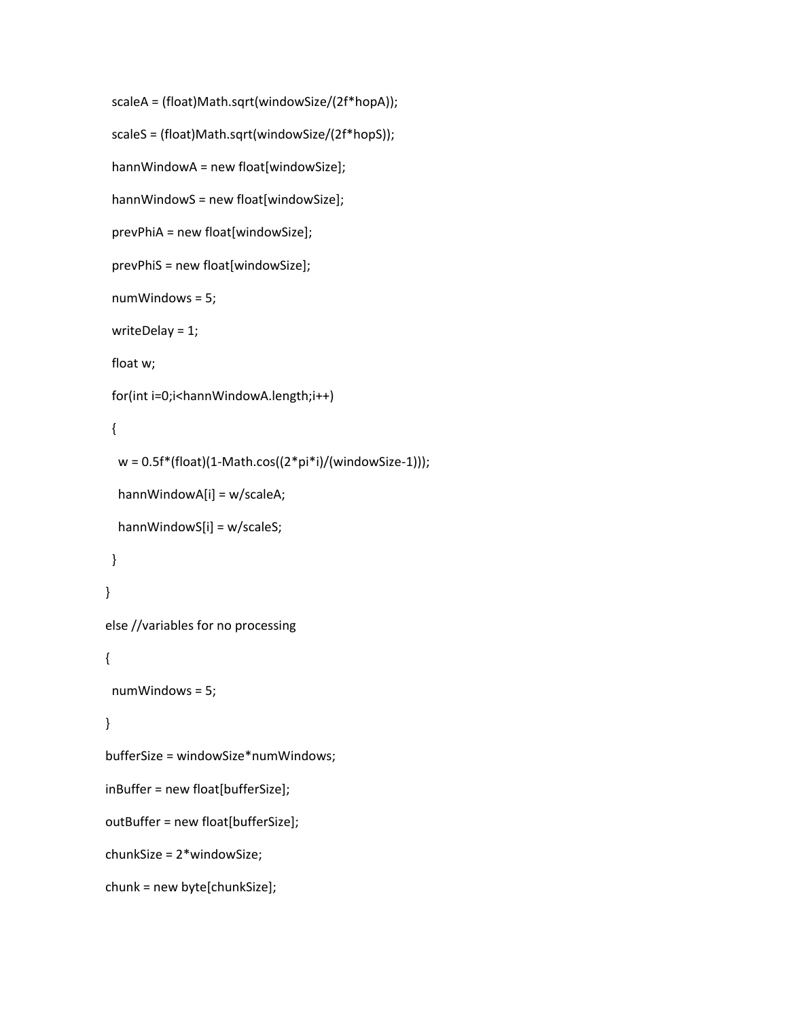```
      scaleA = (float)Math.sqrt(windowSize/(2f*hopA));
       scaleS = (float)Math.sqrt(windowSize/(2f*hopS));
       hannWindowA = new float[windowSize];
       hannWindowS = new float[windowSize];
       prevPhiA = new float[windowSize];
       prevPhiS = new float[windowSize];
       numWindows = 5;
       writeDelay = 1;
       float w;
 for(int i=0;i<hannWindowA.length;i++)
       {
  w = 0.5f^*(float)(1-Math.co((2*pi)*i)/(windowSize-1)));        hannWindowA[i] = w/scaleA;
          hannWindowS[i] = w/scaleS;
       }
    }
    else //variables for no processing
    {
       numWindows = 5;
    }
    bufferSize = windowSize*numWindows;
    inBuffer = new float[bufferSize];
    outBuffer = new float[bufferSize];
    chunkSize = 2*windowSize;
    chunk = new byte[chunkSize];
```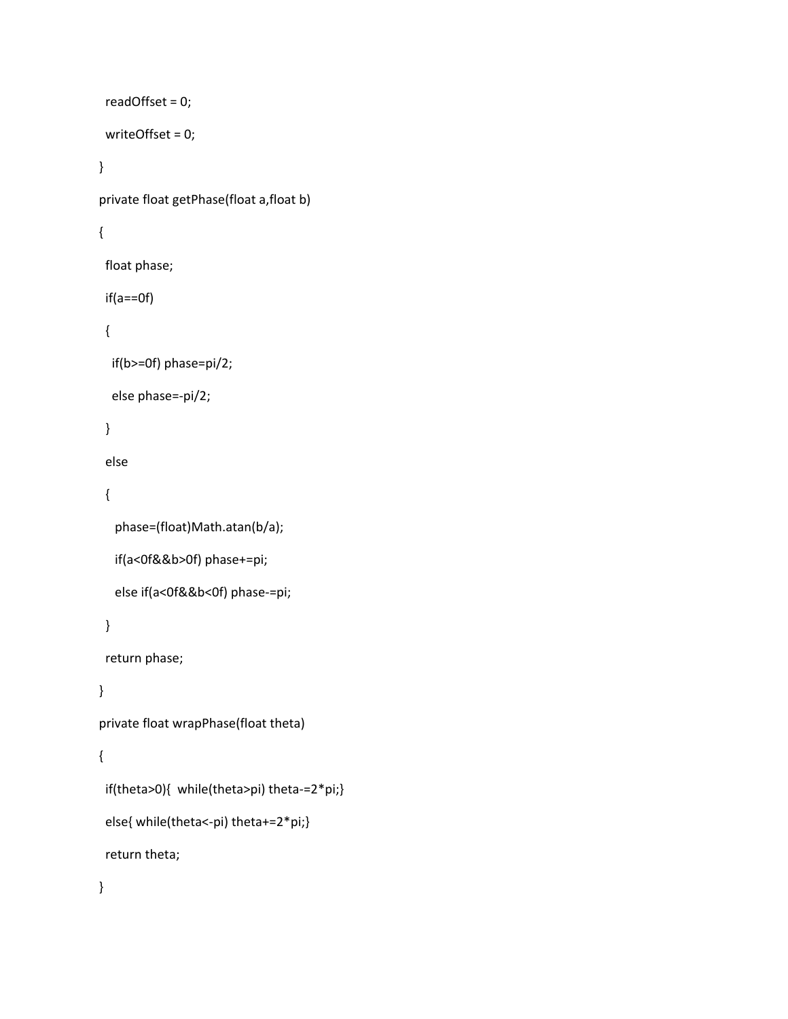```
    readOffset = 0;
     writeOffset = 0;
  }
  private float getPhase(float a,float b)
  {
     float phase;
 if(a == 0f)    {
        if(b>=0f) phase=pi/2;
        else phase=‐pi/2;
     }
     else
     {
          phase=(float)Math.atan(b/a);
          if(a<0f&&b>0f) phase+=pi;
          else if(a<0f&&b<0f) phase‐=pi;
     }
     return phase;
  }
  private float wrapPhase(float theta)
  {
     if(theta>0){  while(theta>pi) theta‐=2*pi;}
     else{ while(theta<‐pi) theta+=2*pi;}
     return theta;
  }
```